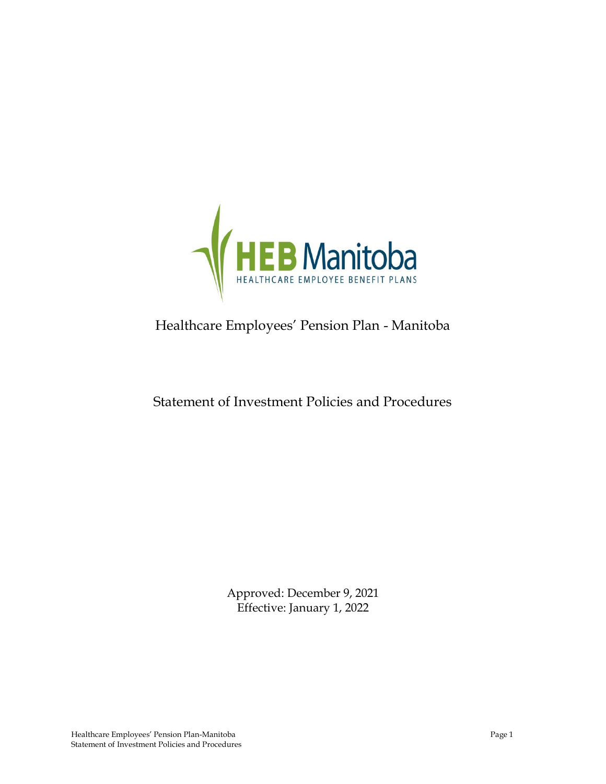

# Healthcare Employees' Pension Plan - Manitoba

## Statement of Investment Policies and Procedures

Approved: December 9, 2021 Effective: January 1, 2022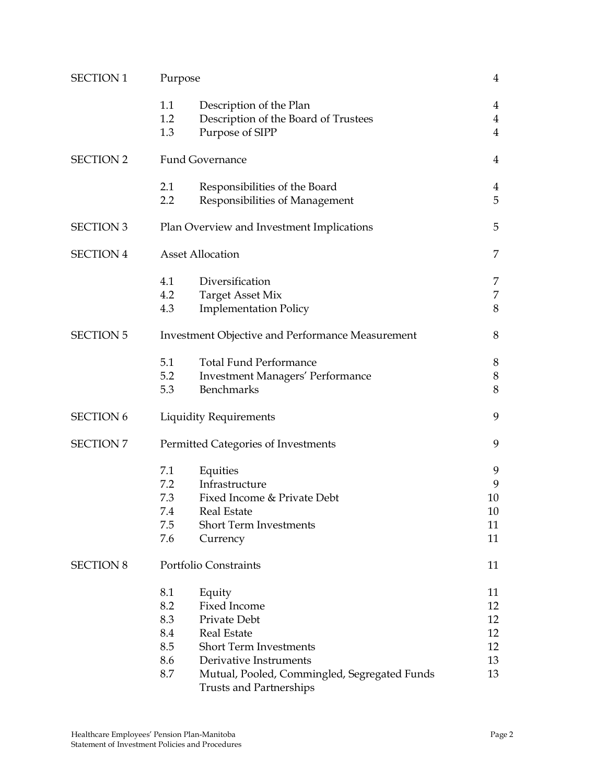| <b>SECTION 1</b> | Purpose                                                 |                                              |                |
|------------------|---------------------------------------------------------|----------------------------------------------|----------------|
|                  | 1.1                                                     | Description of the Plan                      | 4              |
|                  | 1.2                                                     | Description of the Board of Trustees         | $\overline{4}$ |
|                  | 1.3                                                     | Purpose of SIPP                              | $\overline{4}$ |
| <b>SECTION 2</b> | <b>Fund Governance</b>                                  |                                              | 4              |
|                  | 2.1                                                     | Responsibilities of the Board                | 4              |
|                  | 2.2                                                     | Responsibilities of Management               | 5              |
| <b>SECTION 3</b> | 5<br>Plan Overview and Investment Implications          |                                              |                |
| <b>SECTION 4</b> | <b>Asset Allocation</b>                                 |                                              | 7              |
|                  | 4.1                                                     | Diversification                              | 7              |
|                  | 4.2                                                     | <b>Target Asset Mix</b>                      | 7              |
|                  | 4.3                                                     | <b>Implementation Policy</b>                 | 8              |
| <b>SECTION 5</b> | <b>Investment Objective and Performance Measurement</b> |                                              | 8              |
|                  | 5.1                                                     | <b>Total Fund Performance</b>                | 8              |
|                  | 5.2                                                     | <b>Investment Managers' Performance</b>      | $8\,$          |
|                  | 5.3                                                     | Benchmarks                                   | 8              |
| <b>SECTION 6</b> | <b>Liquidity Requirements</b>                           |                                              | 9              |
| <b>SECTION 7</b> | Permitted Categories of Investments                     |                                              |                |
|                  | 7.1                                                     | Equities                                     | 9              |
|                  | 7.2                                                     | Infrastructure                               | 9              |
|                  | 7.3                                                     | Fixed Income & Private Debt                  | 10             |
|                  | 7.4                                                     | Real Estate                                  | 10             |
|                  | 7.5                                                     | <b>Short Term Investments</b>                | 11             |
|                  | 7.6                                                     | Currency                                     | 11             |
| <b>SECTION 8</b> | Portfolio Constraints                                   |                                              | 11             |
|                  | 8.1                                                     | Equity                                       | 11             |
|                  | 8.2                                                     | <b>Fixed Income</b>                          | 12             |
|                  | 8.3                                                     | Private Debt                                 | 12             |
|                  | 8.4                                                     | <b>Real Estate</b>                           | 12             |
|                  | 8.5                                                     | Short Term Investments                       | 12             |
|                  | 8.6                                                     | Derivative Instruments                       | 13             |
|                  | 8.7                                                     | Mutual, Pooled, Commingled, Segregated Funds | 13             |
|                  |                                                         | <b>Trusts and Partnerships</b>               |                |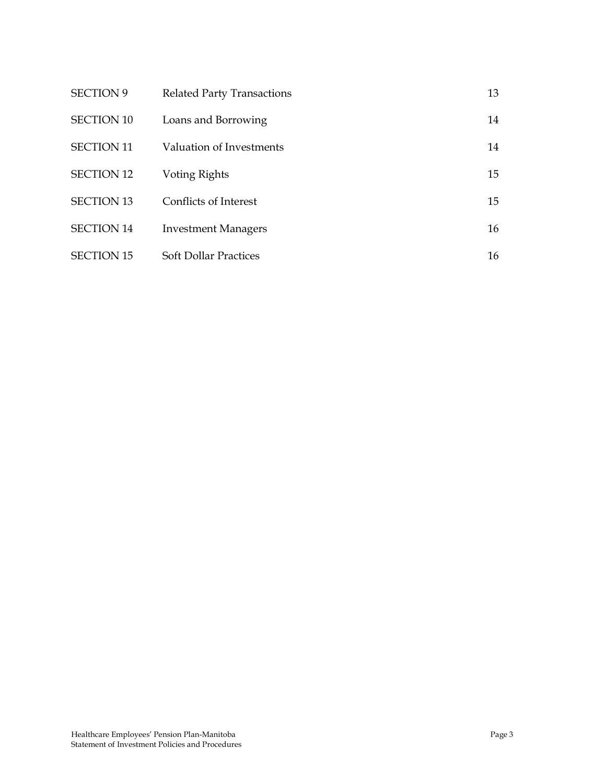| <b>SECTION 9</b>  | <b>Related Party Transactions</b> | 13 |
|-------------------|-----------------------------------|----|
| <b>SECTION 10</b> | Loans and Borrowing               | 14 |
| <b>SECTION 11</b> | Valuation of Investments          | 14 |
| <b>SECTION 12</b> | Voting Rights                     | 15 |
| <b>SECTION 13</b> | Conflicts of Interest             | 15 |
| <b>SECTION 14</b> | <b>Investment Managers</b>        | 16 |
| <b>SECTION 15</b> | <b>Soft Dollar Practices</b>      | 16 |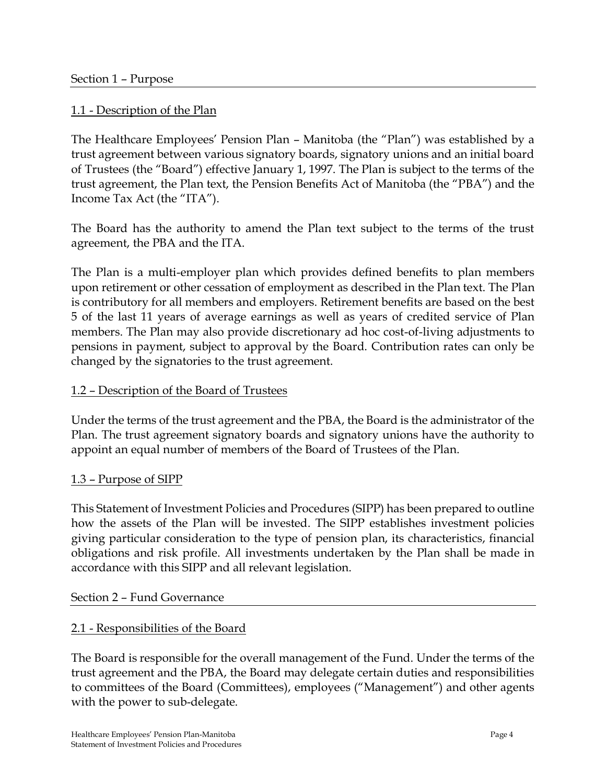#### 1.1 - Description of the Plan

The Healthcare Employees' Pension Plan – Manitoba (the "Plan") was established by a trust agreement between various signatory boards, signatory unions and an initial board of Trustees (the "Board") effective January 1, 1997. The Plan is subject to the terms of the trust agreement, the Plan text, the Pension Benefits Act of Manitoba (the "PBA") and the Income Tax Act (the "ITA").

The Board has the authority to amend the Plan text subject to the terms of the trust agreement, the PBA and the ITA.

The Plan is a multi-employer plan which provides defined benefits to plan members upon retirement or other cessation of employment as described in the Plan text. The Plan is contributory for all members and employers. Retirement benefits are based on the best 5 of the last 11 years of average earnings as well as years of credited service of Plan members. The Plan may also provide discretionary ad hoc cost-of-living adjustments to pensions in payment, subject to approval by the Board. Contribution rates can only be changed by the signatories to the trust agreement.

#### 1.2 – Description of the Board of Trustees

Under the terms of the trust agreement and the PBA, the Board is the administrator of the Plan. The trust agreement signatory boards and signatory unions have the authority to appoint an equal number of members of the Board of Trustees of the Plan.

#### 1.3 – Purpose of SIPP

This Statement of Investment Policies and Procedures (SIPP) has been prepared to outline how the assets of the Plan will be invested. The SIPP establishes investment policies giving particular consideration to the type of pension plan, its characteristics, financial obligations and risk profile. All investments undertaken by the Plan shall be made in accordance with this SIPP and all relevant legislation.

#### Section 2 – Fund Governance

## 2.1 - Responsibilities of the Board

The Board is responsible for the overall management of the Fund. Under the terms of the trust agreement and the PBA, the Board may delegate certain duties and responsibilities to committees of the Board (Committees), employees ("Management") and other agents with the power to sub-delegate.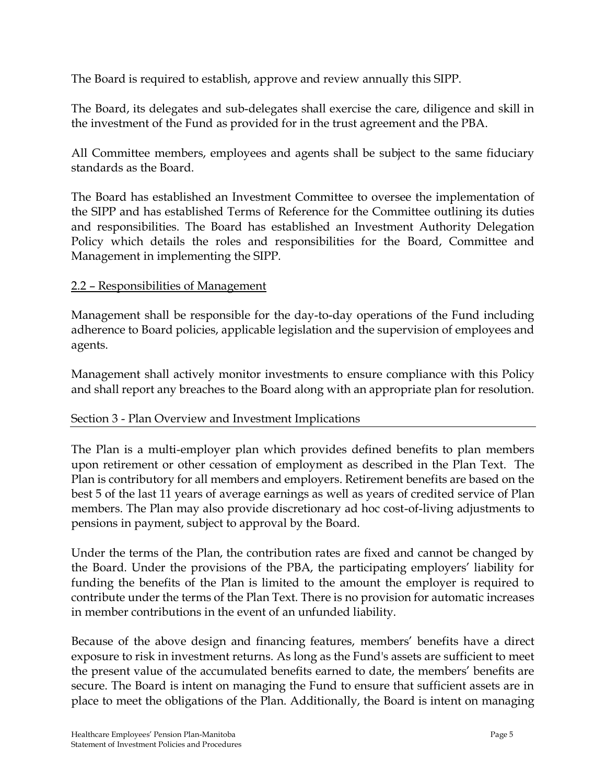The Board is required to establish, approve and review annually this SIPP.

The Board, its delegates and sub-delegates shall exercise the care, diligence and skill in the investment of the Fund as provided for in the trust agreement and the PBA.

All Committee members, employees and agents shall be subject to the same fiduciary standards as the Board.

The Board has established an Investment Committee to oversee the implementation of the SIPP and has established Terms of Reference for the Committee outlining its duties and responsibilities. The Board has established an Investment Authority Delegation Policy which details the roles and responsibilities for the Board, Committee and Management in implementing the SIPP.

## 2.2 – Responsibilities of Management

Management shall be responsible for the day-to-day operations of the Fund including adherence to Board policies, applicable legislation and the supervision of employees and agents.

Management shall actively monitor investments to ensure compliance with this Policy and shall report any breaches to the Board along with an appropriate plan for resolution.

## Section 3 - Plan Overview and Investment Implications

The Plan is a multi-employer plan which provides defined benefits to plan members upon retirement or other cessation of employment as described in the Plan Text. The Plan is contributory for all members and employers. Retirement benefits are based on the best 5 of the last 11 years of average earnings as well as years of credited service of Plan members. The Plan may also provide discretionary ad hoc cost-of-living adjustments to pensions in payment, subject to approval by the Board.

Under the terms of the Plan, the contribution rates are fixed and cannot be changed by the Board. Under the provisions of the PBA, the participating employers' liability for funding the benefits of the Plan is limited to the amount the employer is required to contribute under the terms of the Plan Text. There is no provision for automatic increases in member contributions in the event of an unfunded liability.

Because of the above design and financing features, members' benefits have a direct exposure to risk in investment returns. As long as the Fund's assets are sufficient to meet the present value of the accumulated benefits earned to date, the members' benefits are secure. The Board is intent on managing the Fund to ensure that sufficient assets are in place to meet the obligations of the Plan. Additionally, the Board is intent on managing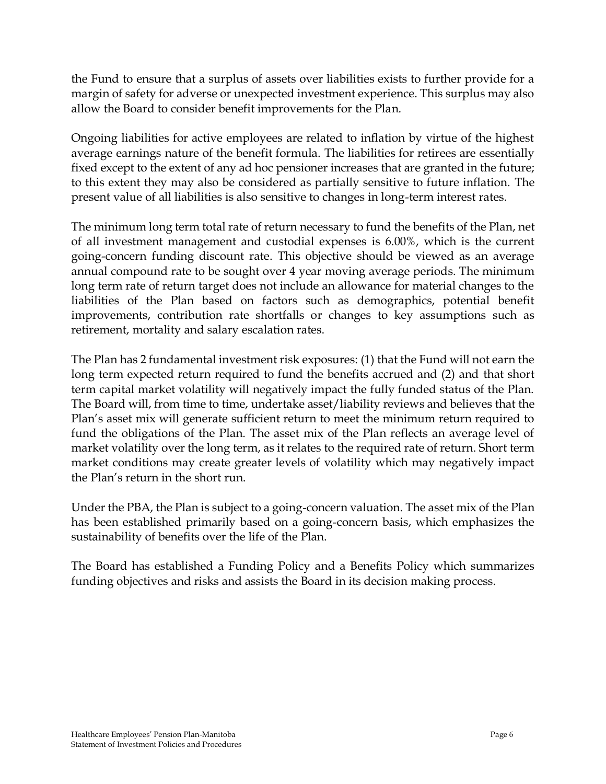the Fund to ensure that a surplus of assets over liabilities exists to further provide for a margin of safety for adverse or unexpected investment experience. This surplus may also allow the Board to consider benefit improvements for the Plan.

Ongoing liabilities for active employees are related to inflation by virtue of the highest average earnings nature of the benefit formula. The liabilities for retirees are essentially fixed except to the extent of any ad hoc pensioner increases that are granted in the future; to this extent they may also be considered as partially sensitive to future inflation. The present value of all liabilities is also sensitive to changes in long-term interest rates.

The minimum long term total rate of return necessary to fund the benefits of the Plan, net of all investment management and custodial expenses is 6.00%, which is the current going-concern funding discount rate. This objective should be viewed as an average annual compound rate to be sought over 4 year moving average periods. The minimum long term rate of return target does not include an allowance for material changes to the liabilities of the Plan based on factors such as demographics, potential benefit improvements, contribution rate shortfalls or changes to key assumptions such as retirement, mortality and salary escalation rates.

The Plan has 2 fundamental investment risk exposures: (1) that the Fund will not earn the long term expected return required to fund the benefits accrued and (2) and that short term capital market volatility will negatively impact the fully funded status of the Plan. The Board will, from time to time, undertake asset/liability reviews and believes that the Plan's asset mix will generate sufficient return to meet the minimum return required to fund the obligations of the Plan. The asset mix of the Plan reflects an average level of market volatility over the long term, as it relates to the required rate of return. Short term market conditions may create greater levels of volatility which may negatively impact the Plan's return in the short run.

Under the PBA, the Plan is subject to a going-concern valuation. The asset mix of the Plan has been established primarily based on a going-concern basis, which emphasizes the sustainability of benefits over the life of the Plan.

The Board has established a Funding Policy and a Benefits Policy which summarizes funding objectives and risks and assists the Board in its decision making process.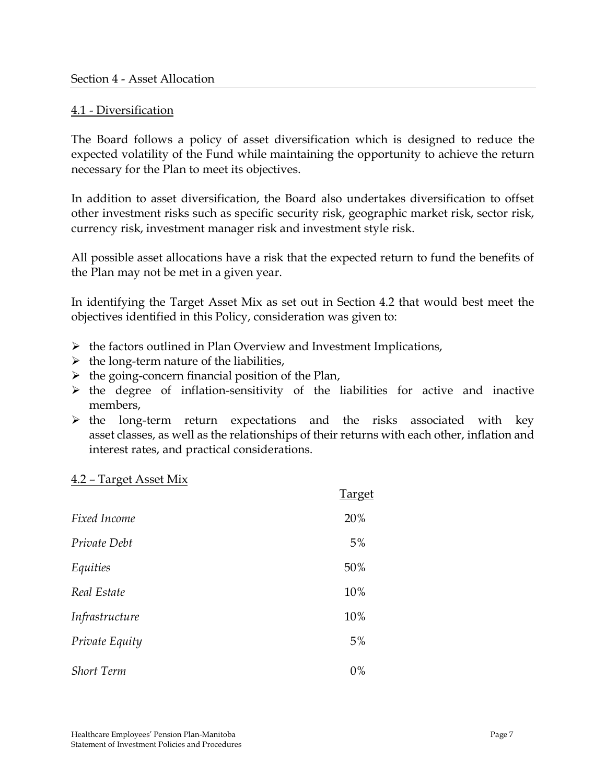#### 4.1 - Diversification

The Board follows a policy of asset diversification which is designed to reduce the expected volatility of the Fund while maintaining the opportunity to achieve the return necessary for the Plan to meet its objectives.

In addition to asset diversification, the Board also undertakes diversification to offset other investment risks such as specific security risk, geographic market risk, sector risk, currency risk, investment manager risk and investment style risk.

All possible asset allocations have a risk that the expected return to fund the benefits of the Plan may not be met in a given year.

In identifying the Target Asset Mix as set out in Section 4.2 that would best meet the objectives identified in this Policy, consideration was given to:

- $\triangleright$  the factors outlined in Plan Overview and Investment Implications,
- $\triangleright$  the long-term nature of the liabilities,
- $\triangleright$  the going-concern financial position of the Plan,
- $\triangleright$  the degree of inflation-sensitivity of the liabilities for active and inactive members,
- $\triangleright$  the long-term return expectations and the risks associated with key asset classes, as well as the relationships of their returns with each other, inflation and interest rates, and practical considerations.

#### 4.2 – Target Asset Mix

|                   | Target |
|-------------------|--------|
| Fixed Income      | 20%    |
| Private Debt      | 5%     |
| Equities          | 50%    |
| Real Estate       | 10%    |
| Infrastructure    | 10%    |
| Private Equity    | 5%     |
| <b>Short Term</b> | 0%     |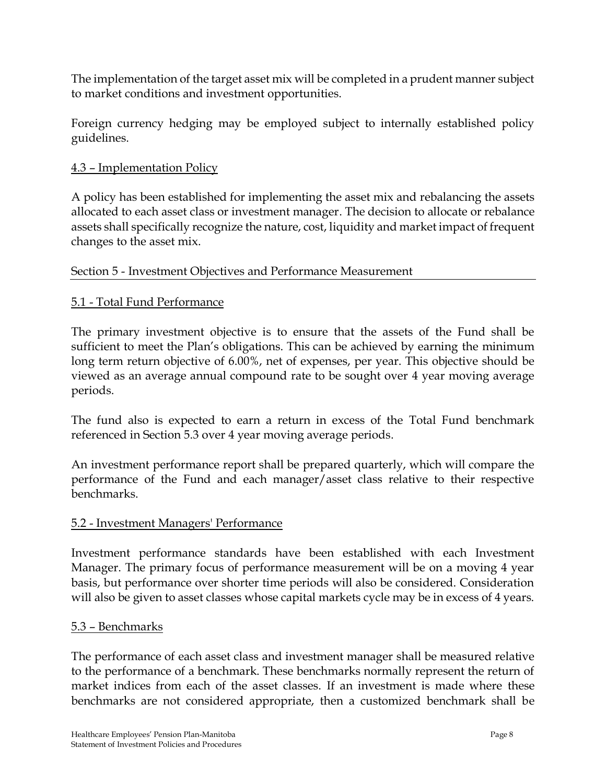The implementation of the target asset mix will be completed in a prudent manner subject to market conditions and investment opportunities.

Foreign currency hedging may be employed subject to internally established policy guidelines.

### 4.3 – Implementation Policy

A policy has been established for implementing the asset mix and rebalancing the assets allocated to each asset class or investment manager. The decision to allocate or rebalance assets shall specifically recognize the nature, cost, liquidity and market impact of frequent changes to the asset mix.

#### Section 5 - Investment Objectives and Performance Measurement

#### 5.1 - Total Fund Performance

The primary investment objective is to ensure that the assets of the Fund shall be sufficient to meet the Plan's obligations. This can be achieved by earning the minimum long term return objective of 6.00%, net of expenses, per year. This objective should be viewed as an average annual compound rate to be sought over 4 year moving average periods.

The fund also is expected to earn a return in excess of the Total Fund benchmark referenced in Section 5.3 over 4 year moving average periods.

An investment performance report shall be prepared quarterly, which will compare the performance of the Fund and each manager/asset class relative to their respective benchmarks.

#### 5.2 - Investment Managers' Performance

Investment performance standards have been established with each Investment Manager. The primary focus of performance measurement will be on a moving 4 year basis, but performance over shorter time periods will also be considered. Consideration will also be given to asset classes whose capital markets cycle may be in excess of 4 years.

#### 5.3 – Benchmarks

The performance of each asset class and investment manager shall be measured relative to the performance of a benchmark. These benchmarks normally represent the return of market indices from each of the asset classes. If an investment is made where these benchmarks are not considered appropriate, then a customized benchmark shall be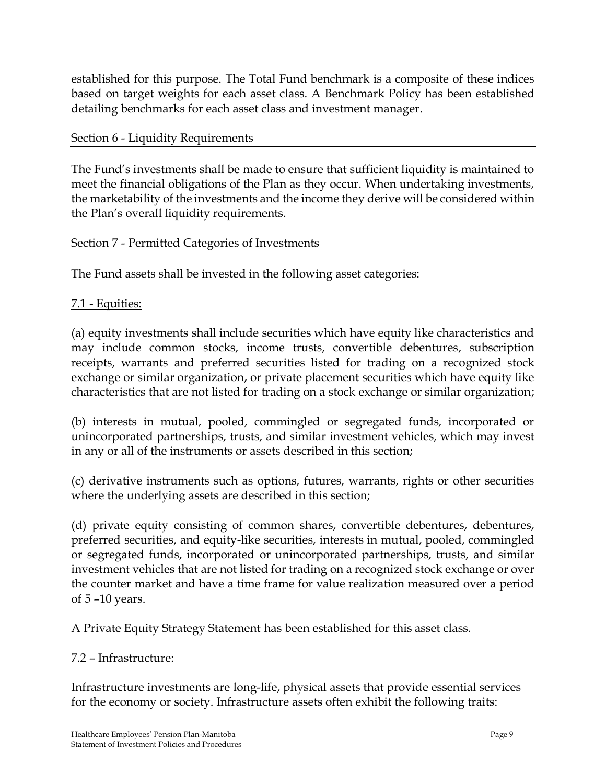established for this purpose. The Total Fund benchmark is a composite of these indices based on target weights for each asset class. A Benchmark Policy has been established detailing benchmarks for each asset class and investment manager.

#### Section 6 - Liquidity Requirements

The Fund's investments shall be made to ensure that sufficient liquidity is maintained to meet the financial obligations of the Plan as they occur. When undertaking investments, the marketability of the investments and the income they derive will be considered within the Plan's overall liquidity requirements.

#### Section 7 - Permitted Categories of Investments

The Fund assets shall be invested in the following asset categories:

## 7.1 - Equities:

(a) equity investments shall include securities which have equity like characteristics and may include common stocks, income trusts, convertible debentures, subscription receipts, warrants and preferred securities listed for trading on a recognized stock exchange or similar organization, or private placement securities which have equity like characteristics that are not listed for trading on a stock exchange or similar organization;

(b) interests in mutual, pooled, commingled or segregated funds, incorporated or unincorporated partnerships, trusts, and similar investment vehicles, which may invest in any or all of the instruments or assets described in this section;

(c) derivative instruments such as options, futures, warrants, rights or other securities where the underlying assets are described in this section;

(d) private equity consisting of common shares, convertible debentures, debentures, preferred securities, and equity-like securities, interests in mutual, pooled, commingled or segregated funds, incorporated or unincorporated partnerships, trusts, and similar investment vehicles that are not listed for trading on a recognized stock exchange or over the counter market and have a time frame for value realization measured over a period of 5 –10 years.

A Private Equity Strategy Statement has been established for this asset class.

#### 7.2 – Infrastructure:

Infrastructure investments are long-life, physical assets that provide essential services for the economy or society. Infrastructure assets often exhibit the following traits: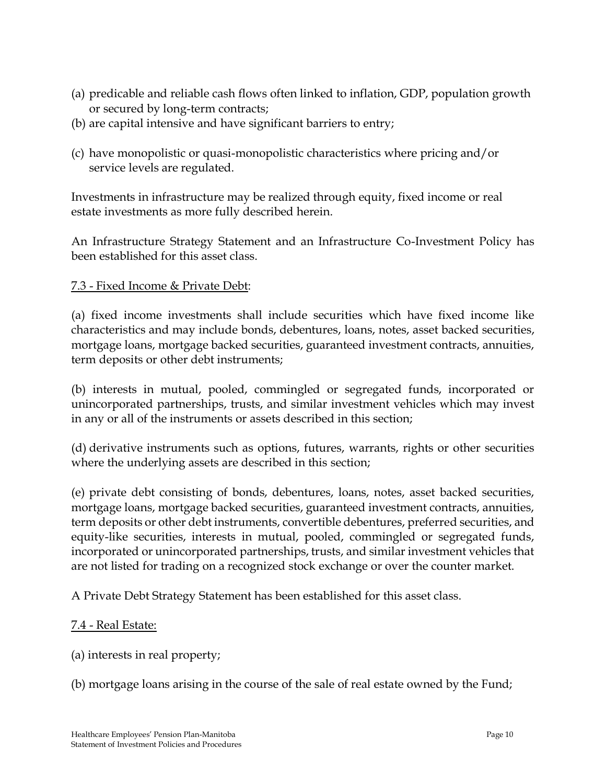- (a) predicable and reliable cash flows often linked to inflation, GDP, population growth or secured by long-term contracts;
- (b) are capital intensive and have significant barriers to entry;
- (c) have monopolistic or quasi-monopolistic characteristics where pricing and/or service levels are regulated.

Investments in infrastructure may be realized through equity, fixed income or real estate investments as more fully described herein.

An Infrastructure Strategy Statement and an Infrastructure Co-Investment Policy has been established for this asset class.

#### 7.3 - Fixed Income & Private Debt:

(a) fixed income investments shall include securities which have fixed income like characteristics and may include bonds, debentures, loans, notes, asset backed securities, mortgage loans, mortgage backed securities, guaranteed investment contracts, annuities, term deposits or other debt instruments;

(b) interests in mutual, pooled, commingled or segregated funds, incorporated or unincorporated partnerships, trusts, and similar investment vehicles which may invest in any or all of the instruments or assets described in this section;

(d) derivative instruments such as options, futures, warrants, rights or other securities where the underlying assets are described in this section;

(e) private debt consisting of bonds, debentures, loans, notes, asset backed securities, mortgage loans, mortgage backed securities, guaranteed investment contracts, annuities, term deposits or other debt instruments, convertible debentures, preferred securities, and equity-like securities, interests in mutual, pooled, commingled or segregated funds, incorporated or unincorporated partnerships, trusts, and similar investment vehicles that are not listed for trading on a recognized stock exchange or over the counter market.

A Private Debt Strategy Statement has been established for this asset class.

#### 7.4 - Real Estate:

(a) interests in real property;

(b) mortgage loans arising in the course of the sale of real estate owned by the Fund;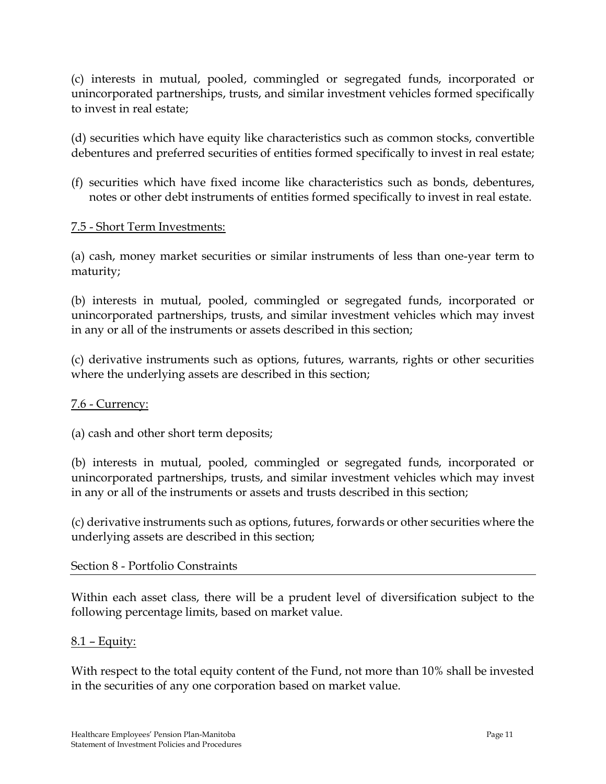(c) interests in mutual, pooled, commingled or segregated funds, incorporated or unincorporated partnerships, trusts, and similar investment vehicles formed specifically to invest in real estate;

(d) securities which have equity like characteristics such as common stocks, convertible debentures and preferred securities of entities formed specifically to invest in real estate;

(f) securities which have fixed income like characteristics such as bonds, debentures, notes or other debt instruments of entities formed specifically to invest in real estate.

#### 7.5 - Short Term Investments:

(a) cash, money market securities or similar instruments of less than one-year term to maturity;

(b) interests in mutual, pooled, commingled or segregated funds, incorporated or unincorporated partnerships, trusts, and similar investment vehicles which may invest in any or all of the instruments or assets described in this section;

(c) derivative instruments such as options, futures, warrants, rights or other securities where the underlying assets are described in this section;

#### 7.6 - Currency:

(a) cash and other short term deposits;

(b) interests in mutual, pooled, commingled or segregated funds, incorporated or unincorporated partnerships, trusts, and similar investment vehicles which may invest in any or all of the instruments or assets and trusts described in this section;

(c) derivative instruments such as options, futures, forwards or other securities where the underlying assets are described in this section;

#### Section 8 - Portfolio Constraints

Within each asset class, there will be a prudent level of diversification subject to the following percentage limits, based on market value.

#### $8.1$  – Equity:

With respect to the total equity content of the Fund, not more than 10% shall be invested in the securities of any one corporation based on market value.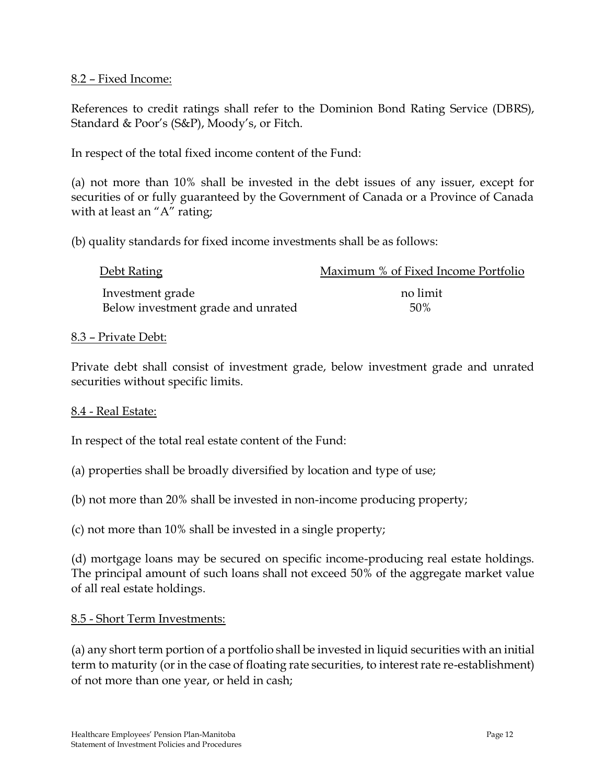#### 8.2 – Fixed Income:

References to credit ratings shall refer to the Dominion Bond Rating Service (DBRS), Standard & Poor's (S&P), Moody's, or Fitch.

In respect of the total fixed income content of the Fund:

(a) not more than 10% shall be invested in the debt issues of any issuer, except for securities of or fully guaranteed by the Government of Canada or a Province of Canada with at least an "A" rating;

(b) quality standards for fixed income investments shall be as follows:

| Debt Rating                        | Maximum % of Fixed Income Portfolio |
|------------------------------------|-------------------------------------|
| Investment grade                   | no limit                            |
| Below investment grade and unrated | .50%                                |

#### 8.3 – Private Debt:

Private debt shall consist of investment grade, below investment grade and unrated securities without specific limits.

#### 8.4 - Real Estate:

In respect of the total real estate content of the Fund:

- (a) properties shall be broadly diversified by location and type of use;
- (b) not more than 20% shall be invested in non-income producing property;

(c) not more than 10% shall be invested in a single property;

(d) mortgage loans may be secured on specific income-producing real estate holdings. The principal amount of such loans shall not exceed 50% of the aggregate market value of all real estate holdings.

## 8.5 - Short Term Investments:

(a) any short term portion of a portfolio shall be invested in liquid securities with an initial term to maturity (or in the case of floating rate securities, to interest rate re-establishment) of not more than one year, or held in cash;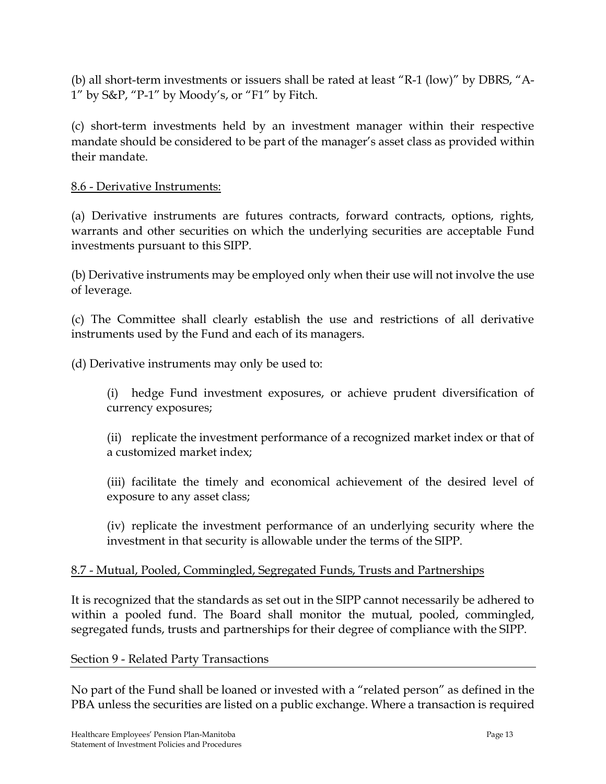(b) all short-term investments or issuers shall be rated at least "R-1 (low)" by DBRS, "A-1" by S&P, "P-1" by Moody's, or "F1" by Fitch.

(c) short-term investments held by an investment manager within their respective mandate should be considered to be part of the manager's asset class as provided within their mandate.

#### 8.6 - Derivative Instruments:

(a) Derivative instruments are futures contracts, forward contracts, options, rights, warrants and other securities on which the underlying securities are acceptable Fund investments pursuant to this SIPP.

(b) Derivative instruments may be employed only when their use will not involve the use of leverage.

(c) The Committee shall clearly establish the use and restrictions of all derivative instruments used by the Fund and each of its managers.

(d) Derivative instruments may only be used to:

(i) hedge Fund investment exposures, or achieve prudent diversification of currency exposures;

(ii) replicate the investment performance of a recognized market index or that of a customized market index;

(iii) facilitate the timely and economical achievement of the desired level of exposure to any asset class;

(iv) replicate the investment performance of an underlying security where the investment in that security is allowable under the terms of the SIPP.

## 8.7 - Mutual, Pooled, Commingled, Segregated Funds, Trusts and Partnerships

It is recognized that the standards as set out in the SIPP cannot necessarily be adhered to within a pooled fund. The Board shall monitor the mutual, pooled, commingled, segregated funds, trusts and partnerships for their degree of compliance with the SIPP.

#### Section 9 - Related Party Transactions

No part of the Fund shall be loaned or invested with a "related person" as defined in the PBA unless the securities are listed on a public exchange. Where a transaction is required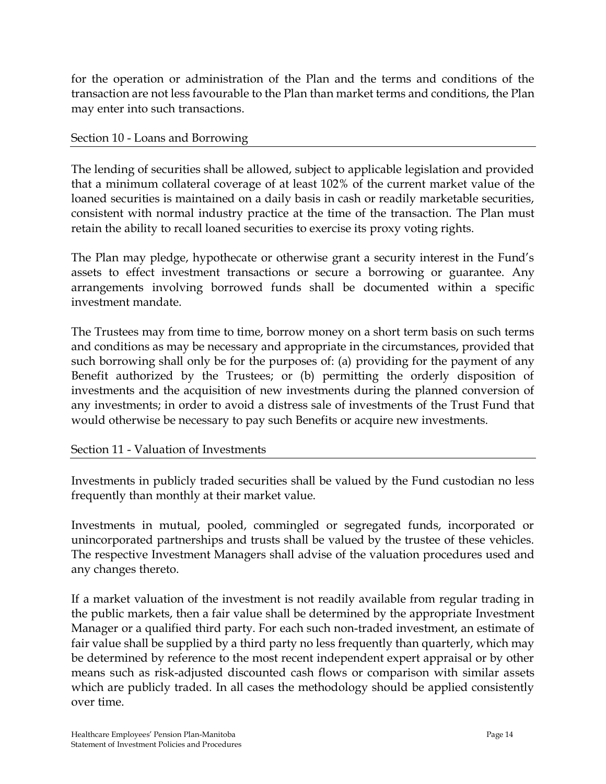for the operation or administration of the Plan and the terms and conditions of the transaction are not less favourable to the Plan than market terms and conditions, the Plan may enter into such transactions.

#### Section 10 - Loans and Borrowing

The lending of securities shall be allowed, subject to applicable legislation and provided that a minimum collateral coverage of at least 102% of the current market value of the loaned securities is maintained on a daily basis in cash or readily marketable securities, consistent with normal industry practice at the time of the transaction. The Plan must retain the ability to recall loaned securities to exercise its proxy voting rights.

The Plan may pledge, hypothecate or otherwise grant a security interest in the Fund's assets to effect investment transactions or secure a borrowing or guarantee. Any arrangements involving borrowed funds shall be documented within a specific investment mandate.

The Trustees may from time to time, borrow money on a short term basis on such terms and conditions as may be necessary and appropriate in the circumstances, provided that such borrowing shall only be for the purposes of: (a) providing for the payment of any Benefit authorized by the Trustees; or (b) permitting the orderly disposition of investments and the acquisition of new investments during the planned conversion of any investments; in order to avoid a distress sale of investments of the Trust Fund that would otherwise be necessary to pay such Benefits or acquire new investments.

## Section 11 - Valuation of Investments

Investments in publicly traded securities shall be valued by the Fund custodian no less frequently than monthly at their market value.

Investments in mutual, pooled, commingled or segregated funds, incorporated or unincorporated partnerships and trusts shall be valued by the trustee of these vehicles. The respective Investment Managers shall advise of the valuation procedures used and any changes thereto.

If a market valuation of the investment is not readily available from regular trading in the public markets, then a fair value shall be determined by the appropriate Investment Manager or a qualified third party. For each such non-traded investment, an estimate of fair value shall be supplied by a third party no less frequently than quarterly, which may be determined by reference to the most recent independent expert appraisal or by other means such as risk-adjusted discounted cash flows or comparison with similar assets which are publicly traded. In all cases the methodology should be applied consistently over time.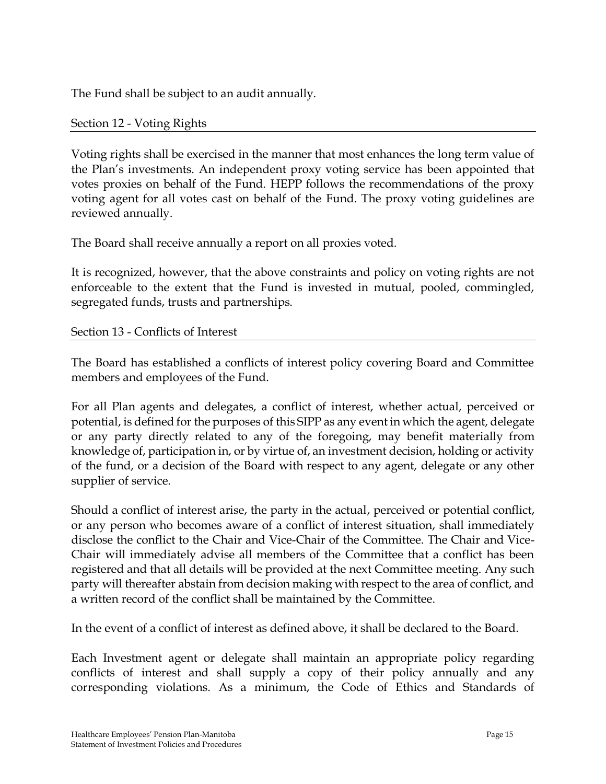The Fund shall be subject to an audit annually.

Section 12 - Voting Rights

Voting rights shall be exercised in the manner that most enhances the long term value of the Plan's investments. An independent proxy voting service has been appointed that votes proxies on behalf of the Fund. HEPP follows the recommendations of the proxy voting agent for all votes cast on behalf of the Fund. The proxy voting guidelines are reviewed annually.

The Board shall receive annually a report on all proxies voted.

It is recognized, however, that the above constraints and policy on voting rights are not enforceable to the extent that the Fund is invested in mutual, pooled, commingled, segregated funds, trusts and partnerships.

#### Section 13 - Conflicts of Interest

The Board has established a conflicts of interest policy covering Board and Committee members and employees of the Fund.

For all Plan agents and delegates, a conflict of interest, whether actual, perceived or potential, is defined for the purposes of this SIPP as any event in which the agent, delegate or any party directly related to any of the foregoing, may benefit materially from knowledge of, participation in, or by virtue of, an investment decision, holding or activity of the fund, or a decision of the Board with respect to any agent, delegate or any other supplier of service.

Should a conflict of interest arise, the party in the actual, perceived or potential conflict, or any person who becomes aware of a conflict of interest situation, shall immediately disclose the conflict to the Chair and Vice-Chair of the Committee. The Chair and Vice-Chair will immediately advise all members of the Committee that a conflict has been registered and that all details will be provided at the next Committee meeting. Any such party will thereafter abstain from decision making with respect to the area of conflict, and a written record of the conflict shall be maintained by the Committee.

In the event of a conflict of interest as defined above, it shall be declared to the Board.

Each Investment agent or delegate shall maintain an appropriate policy regarding conflicts of interest and shall supply a copy of their policy annually and any corresponding violations. As a minimum, the Code of Ethics and Standards of